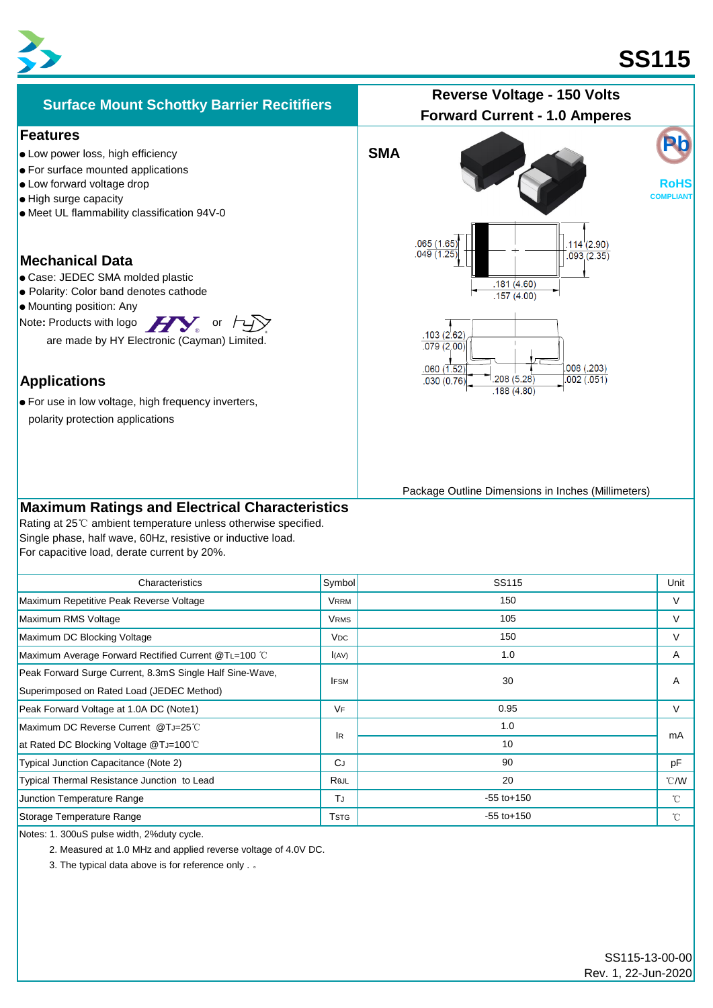



| Characteristics                                          | Symbol                  | SS115           | Unit          |
|----------------------------------------------------------|-------------------------|-----------------|---------------|
| Maximum Repetitive Peak Reverse Voltage                  | <b>VRRM</b>             | 150             | V             |
| Maximum RMS Voltage                                      | <b>VRMS</b>             | 105             | $\vee$        |
| Maximum DC Blocking Voltage                              | <b>V<sub>DC</sub></b>   | 150             | V             |
| Maximum Average Forward Rectified Current @TL=100 °C     | I(AV)                   | 1.0             | A             |
| Peak Forward Surge Current, 8.3mS Single Half Sine-Wave, | <b>IFSM</b>             | 30              | A             |
| Superimposed on Rated Load (JEDEC Method)                |                         |                 |               |
| Peak Forward Voltage at 1.0A DC (Note1)                  | <b>VF</b>               | 0.95            | V             |
| Maximum DC Reverse Current @TJ=25°C                      | <b>IR</b>               | 1.0             | mA            |
| at Rated DC Blocking Voltage @TJ=100°C                   |                         | 10              |               |
| Typical Junction Capacitance (Note 2)                    | <b>C</b> J              | 90              | pF            |
| Typical Thermal Resistance Junction to Lead              | Rejl                    | 20              | $\degree$ C/W |
| Junction Temperature Range                               | TJ                      | $-55$ to $+150$ | $^{\circ}$ C  |
| Storage Temperature Range                                | <b>T</b> <sub>STG</sub> | $-55$ to $+150$ | $^{\circ}$ C  |
|                                                          |                         |                 |               |

Notes: 1. 300uS pulse width, 2%duty cycle.

2. Measured at 1.0 MHz and applied reverse voltage of 4.0V DC.

3. The typical data above is for reference only . 。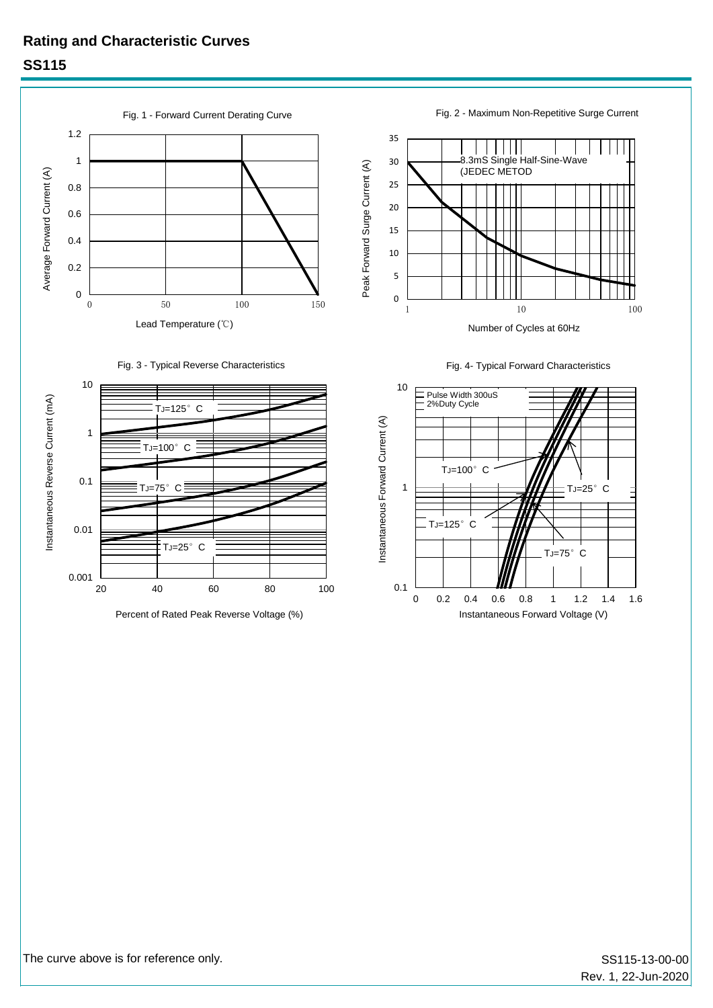## **Rating and Characteristic Curves SS115**









Fig. 2 - Maximum Non-Repetitive Surge Current